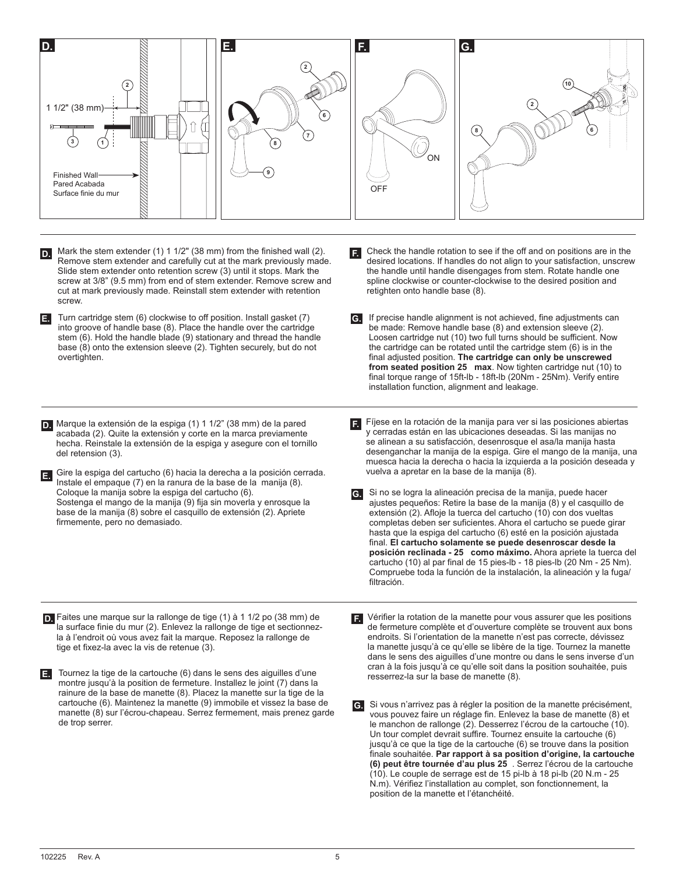

- Mark the stem extender (1) 1 1/2" (38 mm) from the finished wall (2). Remove stem extender and carefully cut at the mark previously made. Slide stem extender onto retention screw (3) until it stops. Mark the screw at 3/8" (9.5 mm) from end of stem extender. Remove screw and cut at mark previously made. Reinstall stem extender with retention screw. **D.**
- Turn cartridge stem (6) clockwise to off position. Install gasket (7) **E.** into groove of handle base (8). Place the handle over the cartridge stem (6). Hold the handle blade (9) stationary and thread the handle base (8) onto the extension sleeve (2). Tighten securely, but do not overtighten.
- Marque la extensión de la espiga (1) 1 1/2" (38 mm) de la pared **D.** acabada (2). Quite la extensión y corte en la marca previamente hecha. Reinstale la extensión de la espiga y asegure con el tornillo del retension (3).
- Gire la espiga del cartucho (6) hacia la derecha a la posición cerrada. **E.** Instale el empaque (7) en la ranura de la base de la manija (8). Coloque la manija sobre la espiga del cartucho (6). Sostenga el mango de la manija (9) fija sin moverla y enrosque la base de la manija (8) sobre el casquillo de extensión (2). Apriete firmemente, pero no demasiado.
- Check the handle rotation to see if the off and on positions are in the desired locations. If handles do not align to your satisfaction, unscrew the handle until handle disengages from stem. Rotate handle one spline clockwise or counter-clockwise to the desired position and retighten onto handle base (8). **F.**
- If precise handle alignment is not achieved, fine adjustments can **G.** be made: Remove handle base (8) and extension sleeve (2). Loosen cartridge nut (10) two full turns should be sufficient. Now the cartridge can be rotated until the cartridge stem (6) is in the final adjusted position. **The cartridge can only be unscrewed from seated position 25 max**. Now tighten cartridge nut (10) to final torque range of 15ft-lb - 18ft-lb (20Nm - 25Nm). Verify entire installation function, alignment and leakage.
- Fíjese en la rotación de la manija para ver si las posiciones abiertas y cerradas están en las ubicaciones deseadas. Si las manijas no se alinean a su satisfacción, desenrosque el asa/la manija hasta desenganchar la manija de la espiga. Gire el mango de la manija, una muesca hacia la derecha o hacia la izquierda a la posición deseada y vuelva a apretar en la base de la manija (8). **F.**
- Si no se logra la alineación precisa de la manija, puede hacer ajustes pequeños: Retire la base de la manija (8) y el casquillo de extensión (2). Afloje la tuerca del cartucho (10) con dos vueltas completas deben ser suficientes. Ahora el cartucho se puede girar hasta que la espiga del cartucho (6) esté en la posición ajustada final. **El cartucho solamente se puede desenroscar desde la posición reclinada - 25 como máximo.** Ahora apriete la tuerca del cartucho (10) al par final de 15 pies-lb - 18 pies-lb (20 Nm - 25 Nm). Compruebe toda la función de la instalación, la alineación y la fuga/ filtración. **G.**
- Faites une marque sur la rallonge de tige (1) à 1 1/2 po (38 mm) de **D.** la surface finie du mur (2). Enlevez la rallonge de tige et sectionnezla à l'endroit où vous avez fait la marque. Reposez la rallonge de tige et fixez-la avec la vis de retenue (3).
- Tournez la tige de la cartouche (6) dans le sens des aiguilles d'une **E.** montre jusqu'à la position de fermeture. Installez le joint (7) dans la rainure de la base de manette (8). Placez la manette sur la tige de la cartouche (6). Maintenez la manette (9) immobile et vissez la base de manette (8) sur l'écrou-chapeau. Serrez fermement, mais prenez garde de trop serrer.

Vérifier la rotation de la manette pour vous assurer que les positions **F.** de fermeture complète et d'ouverture complète se trouvent aux bons endroits. Si l'orientation de la manette n'est pas correcte, dévissez la manette jusqu'à ce qu'elle se libère de la tige. Tournez la manette dans le sens des aiguilles d'une montre ou dans le sens inverse d'un cran à la fois jusqu'à ce qu'elle soit dans la position souhaitée, puis resserrez-la sur la base de manette (8).

Si vous n'arrivez pas à régler la position de la manette précisément, **G.** vous pouvez faire un réglage fin. Enlevez la base de manette (8) et le manchon de rallonge (2). Desserrez l'écrou de la cartouche (10). Un tour complet devrait suffire. Tournez ensuite la cartouche (6) jusqu'à ce que la tige de la cartouche (6) se trouve dans la position finale souhaitée. **Par rapport à sa position d'origine, la cartouche (6) peut être tournée d'au plus 25** . Serrez l'écrou de la cartouche (10). Le couple de serrage est de 15 pi-lb à 18 pi-lb (20 N.m - 25 N.m). Vérifiez l'installation au complet, son fonctionnement, la position de la manette et l'étanchéité.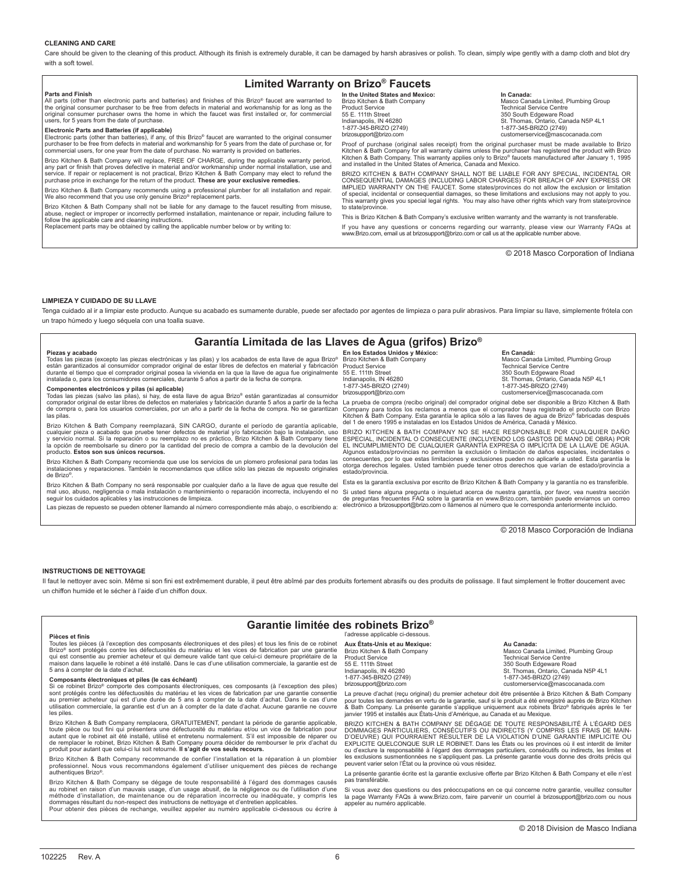#### **CLEANING AND CARE**

Care should be given to the cleaning of this product. Although its finish is extremely durable, it can be damaged by harsh abrasives or polish. To clean, simply wipe gently with a damp cloth and blot dry with a soft towel.

#### **Limited Warranty on Brizo® Faucets**

**Parts and Finish**

All parts (other than electronic parts and batteries) and finishes of this Brizo® faucet are warranted to the original consumer purchaser to be free from defects in material and workmanship for as long as the original consumer purchaser owns the home in which the faucet was first installed or, for commercial users, for 5 years from the date of purchase.

**Electronic Parts and Batteries (if applicable)** Electronic parts (other than batteries), if any, of this Brizo® faucet are warranted to the original consumer purchaser to be free from defects in material and workmanship for 5 years from the date of purchase or, for commercial users, for one year from the date of purchase. No warranty is provided on batteries.

Brizo Kitchen & Bath Company will replace, FREE OF CHARGE, during the applicable warranty period, any part or finish that proves defective in material and/or workmanship under normal installation, use and service. If repair or replacement is not practical, Brizo Kitchen & Bath Company may elect to refund the purchase price in exchange for the return of the product. **These are your exclusive remedies.** 

Brizo Kitchen & Bath Company recommends using a professional plumber for all installation and repair. We also recommend that you use only genuine Brizo® replacement parts.

Brizo Kitchen & Bath Company shall not be liable for any damage to the faucet resulting from misuse,<br>abuse, neglect or improper or incorrectly performed installation, maintenance or repair, including failure to<br>follow the

están garantizados al consumidor comprador original de estar libres de defectos en material y fabricación<br>durante el tiempo que el comprador original posea la vivienda en la que la llave de agua fue originalmente<br>instalada

**Componentes electrónicos y pilas (si aplicable)**<br>Todas las piezas (salvo las pilas), si hay, de esta llave de agua Brizo® están garantizadas al consumidor<br>comprador original de estar libres de defectos en materiales y fab de compra o, para los usuarios comerciales, por un año a partir de la fecha de compra. No se garantizan

Brizo Kitchen & Bath Company reemplazará, SIN CARGO, durante el período de garantía aplicable, cualquier pieza o acabado que pruebe tener defectos de material y/o fabricación bajo la instalación, uso<br>y servicio normal. Si la reparación o su reemplazo no es práctico, Brizo Kitchen & Bath Company tiene<br>la opción de re

Brizo Kitchen & Bath Company recomienda que use los servicios de un plomero profesional para todas las<br>instalaciones y reparaciones. También le recomendamos que utilice sólo las piezas de repuesto originales<br>de Brizo®.

Brizo Kitchen & Bath Company no será responsable por cualquier daño a la llave de agua que resulte del<br>mal uso, abuso, negligencia o mala instalación o mantenimiento o reparación incorrecta, incluyendo el no<br>seguir los cui Las piezas de repuesto se pueden obtener llamando al número correspondiente más abajo, o escribiendo a:

Replacement parts may be obtained by calling the applicable number below or by writing to:

## **In the United States and Mexico: In Canada:**

Brizo Kitchen & Bath Company Masco Canada Limited, Plumbing Group<br>Product Service Masco Canada Limited, Technical Service Centre 55 E. 111th Street 350 South Edgeware Road Indianapolis, IN 46280 St. Thomas, Ontario, Canada N5P 4L1 numanapons, in violence of the contract of the contract of the contract of the contract of the contract of the<br>1-877-345-BRIZO (2749) 1-877-345-BRIZO (2749) 1-877-345-BRIZO (2749) customerservice@mascocanada.com

Proof of purchase (original sales receipt) from the original purchaser must be made available to Brizo<br>Kitchen & Bath Company for all warranty claims unless the purchaser has registered the product with Brizo<br>Kitchen & Bat

BRIZO KITCHEN & BATH COMPANY SHALL NOT BE LIABLE FOR ANY SPECIAL, INCIDENTAL OR CONSEQUENTIAL DAMAGES (INCLUDING LABOR CHARGES) FOR BREACH OF ANY EXPRESS OR IMPLIED WARRANTY ON THE FAUCET. Some states/provinces do not allow the exclusion or limitation of special, incidental or consequential damages, so these limitations and exclusions may not apply to you. This warranty gives you special legal rights. You may also have other rights which vary from state/province to state/province.

This is Brizo Kitchen & Bath Company's exclusive written warranty and the warranty is not transferable. If you have any questions or concerns regarding our warranty, please view our Warranty FAQs at www.Brizo.com, email us at brizosupport@brizo.com or call us at the applicable number above.

© 2018 Masco Corporation of Indiana

#### **LIMPIEZA Y CUIDADO DE SU LLAVE**

y servicio nominale de la repensación de reembolsarie su dinero por la producto. **Estos son sus únicos recursos.** 

**Piezas y acabado**

las pilas.

Tenga cuidado al ir a limpiar este producto. Aunque su acabado es sumamente durable, puede ser afectado por agentes de limpieza o para pulir abrasivos. Para limpiar su llave, simplemente frótela con un trapo húmedo y luego séquela con una toalla suave.

#### **Garantía Limitada de las Llaves de Agua (grifos) Brizo®**

#### Todas las piezas (excepto las piezas electrónicas y las pilas) y los acabados de esta llave de agua Brizo® **En los Estados Unidos y México: En Canadá:**

Product Service<br>
156 E. 111th Street<br>
150 Stouth Edgeware Records<br>
150 St. Thomas, Ontario, Ca<br>
151 St. Thomas, Ontario, Ca

Brizo Kitchen & Bath Company Masco Canada Limited, Plumbing Group<br>
Product Service Centre 55 E. 111th Street 350 South Edgeware Road Indianapolis, IN 46280<br>1-877-345-BRIZO (2749) 1-877-345-BRIZO (2749) 1-877-345-BRIZO (2749) 1-877-345-BRIZO (2749) brizosupport@brizo.com customerservice@mascocanada.com

La prueba de compra (recibo original) del comprador original debe ser disponible a Brizo Kitchen & Bath Company para todos los reclamos a menos que el comprador haya registrado el producto con Brizo<br>Kitchen & Bath Company. Esta garantía le aplica sólo a las llaves de agua de Brizo<sup>s</sup> fabricadas después<br>del 1 de enero 1995 e

BRIZO KITCHEN & BATH COMPANY NO SE HACE RESPONSABLE POR CUALQUIER DANO<br>ESPECIAL, INCIDENTAL O CONSECUENTE (INCLUYENDO LOS GASTOS DE MANO DE OBRA) POR<br>EL INCUMPLIMIENTO DE CUALQUIER GARANTÍA EXPRESA O IMPLÍCITA DE LA LLAVE Algunos estados/provincias no permiten la exclusión o limitación de daños especiales, incidentales o<br>consecuentes, por lo que estas limitaciones y exclusiones pueden no aplicarle a usted. Esta garantía le<br>otorga derechos l estado/provincia.

Esta es la garantía exclusiva por escrito de Brizo Kitchen & Bath Company y la garantía no es transferible. Si usted tiene alguna pregunta o inquietud acerca de nuestra garantía, por favor, vea nuestra sección de preguntas frecuentes FAQ sobre la garantía en www.Brizo.com, también puede enviarnos un correo electrónico a brizosupport@brizo.com o llámenos al número que le corresponda anteriormente incluido.

© 2018 Masco Corporación de Indiana

#### **INSTRUCTIONS DE NETTOYAGE**

Il faut le nettoyer avec soin. Même si son fini est extrêmement durable, il peut être abîmé par des produits fortement abrasifs ou des produits de polissage. Il faut simplement le frotter doucement avec un chiffon humide et le sécher à l'aide d'un chiffon doux.

#### **Garantie limitée des robinets Brizo®** adresse applicable ci-dessous

#### **Pièces et finis**

Toutes les pièces (à l'exception des composants électroniques et des piles) et tous les finis de ce robinet Brizo® sont protégés contre les défectuosités du matériau et les vices de fabrication par une garantie qui est consentie au premier acheteur et qui demeure valide tant que celui-ci demeure propriétaire de la maison dans laquelle le robinet a été installé. Dans le cas d'une utilisation commerciale, la garantie est de 5 ans à compter de la date d'achat.

#### **Composants électroniques et piles (le cas échéant)**

Si ce robinet Brizo® comporte des composants électroniques, ces composants (à l'exception des piles)<br>sont protégés contre les défectuosités du matériau et les vices de fabrication par une garantie consentie<br>au premier ache utilisation commerciale, la garantie est d'un an à compter de la date d'achat. Aucune garantie ne couvre les piles.

Brizo Kitchen & Bath Company remplacera, GRATUITEMENT, pendant la période de garantie applicable, toute pièce ou tout fini qui présentera une défectuosité du matériau et/ou un vice de fabrication pour<br>autant que le robinet ait été installé, utilisé et entretenu normalement. S'il est impossible de réparer ou<br>de remplace

Brizo Kitchen & Bath Company recommande de confier l'installation et la réparation à un plombier professionnel. Nous vous recommandons également d'utiliser uniquement des pièces de rechange authentiques Brizo®.

Brizo Kitchen & Bath Company se dégage de toute responsabilité à l'égard des dommages causés<br>au robinet en raison d'un mauvais usage, d'un usage abusif, de la négligence ou de l'utilisation d'une<br>méthode d'installation, de dommages résultant du non-respect des instructions de nettoyage et d'entretien applicables. Pour obtenir des pièces de rechange, veuillez appeler au numéro applicable ci-dessous ou écrire à

**Aux États-Unis et au Mexique: Au Canada:** Product Service Technical Service Centre 55 E. 111th Street 350 South Edgeware Road

Brizo Kitchen & Bath Company Masco Canada Limited, Plumbing Group<br>
Product Service Centre<br>
Product Service Indianapolis, IN 68280<br>
Indianapolis, IN 46280<br>
Indianapolis, IN 46280<br>
Indianapolis, IN 46280<br>
Intervention, Canada N5P 4L1<br>
Intervention, Canada N5P 4L1<br>
Intervention, Canada N5P 4L1<br>
Intervention, Canada N5P 4L1<br>
Interv 1-877-345-BRIZO (2749) 1-877-345-BRIZO (2749) brizosupport@brizo.com customerservice@mascocanada.com

La preuve d'achat (reçu original) du premier acheteur doit être présentée à Brizo Kitchen & Bath Company pour toutes les demandes en vertu de la garantie, sauf si le produit a été enregistré auprès de Brizo Kitchen<br>& Bath Company. La présente garantie s'applique uniquement aux robinets Brizo® fabriqués après le 1er<br>janvier 1

BRIZO KITCHEN & BATH COMPANY SE DÉGAGE DE TOUTE RESPONSABILITÉ À L'ÉGARD DES DOMMAGES PARTICULIERS, CONSÉCUTIFS OU INDIRECTS (Y COMPRIS LES FRAIS DE MAIN-<br>D'OEUVRE) QUI POURRAIENT RÉSULTER DE LA VIOLATION D'UNE GARANTIE IMPLICITE OU<br>EXPLICITE QUELCONQUE SUR LE ROBINET. Dans les États ou les provinc ou d'exclure la responsabilité à l'égard des dommages particuliers, consécutifs ou indirects, les limites et<br>les exclusions susmentionnées ne s'appliquent pas. La présente garantie vous donne des droits précis qui<br>peuvent

La présente garantie écrite est la garantie exclusive offerte par Brizo Kitchen & Bath Company et elle n'est pas transféra

Si vous avez des questions ou des préoccupations en ce qui concerne notre garantie, veuillez consulter<br>la page Warranty FAQs à www.Brizo.com, faire parvenir un courriel à brizosupport@brizo.com ou nous<br>appeler au numéro ap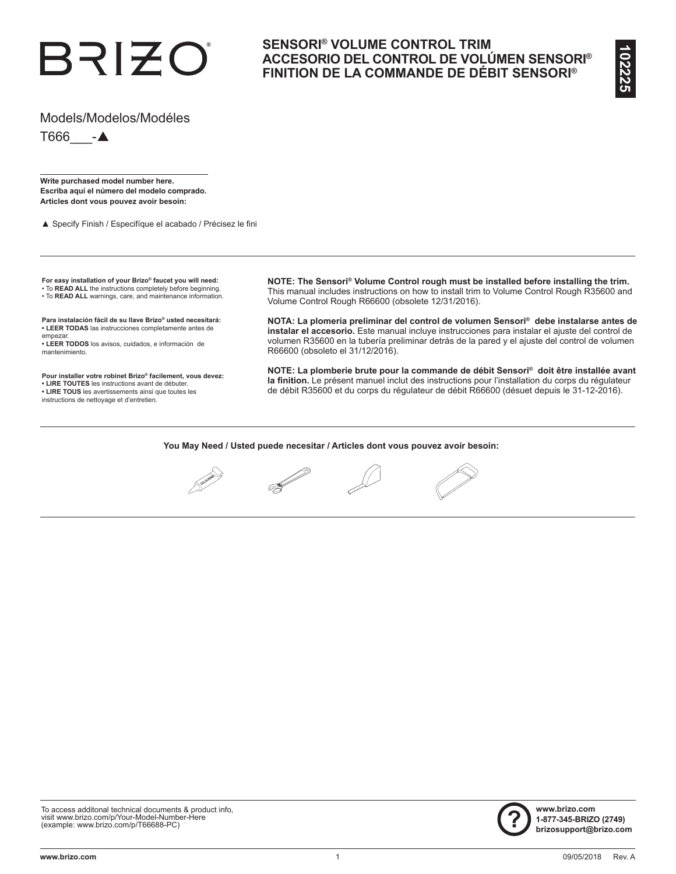# BRIZO

## **SENSORI® VOLUME CONTROL TRIM ACCESORIO DEL CONTROL DE VOLÚMEN SENSORI® FINITION DE LA COMMANDE DE DÉBIT SENSORI®**

### Models/Modelos/Modéles

 $T666$   $-A$ 

**Write purchased model number here. Escriba aquí el número del modelo comprado. Articles dont vous pouvez avoir besoin:**

▲ Specify Finish / Especifíque el acabado / Précisez le fini

**For easy installation of your Brizo® faucet you will need:**  • To **READ ALL** the instructions completely before beginning.

• To **READ ALL** warnings, care, and maintenance information.

**Para instalación fácil de su llave Brizo® usted necesitará: • LEER TODAS** las instrucciones completamente antes de empezar.

**• LEER TODOS** los avisos, cuidados, e información de mantenimiento.

**Pour installer votre robinet Brizo® facilement, vous devez:**

**• LIRE TOUTES** les instructions avant de débuter.

**• LIRE TOUS** les avertissements ainsi que toutes les

instructions de nettoyage et d'entretien.

**NOTE: The Sensori® Volume Control rough must be installed before installing the trim.**  This manual includes instructions on how to install trim to Volume Control Rough R35600 and Volume Control Rough R66600 (obsolete 12/31/2016).

**NOTA: La plomería preliminar del control de volumen Sensori® debe instalarse antes de instalar el accesorio.** Este manual incluye instrucciones para instalar el ajuste del control de volumen R35600 en la tubería preliminar detrás de la pared y el ajuste del control de volumen R66600 (obsoleto el 31/12/2016).

**NOTE: La plomberie brute pour la commande de débit Sensori® doit être installée avant la finition.** Le présent manuel inclut des instructions pour l'installation du corps du régulateur de débit R35600 et du corps du régulateur de débit R66600 (désuet depuis le 31-12-2016).

**You May Need / Usted puede necesitar / Articles dont vous pouvez avoir besoin:**



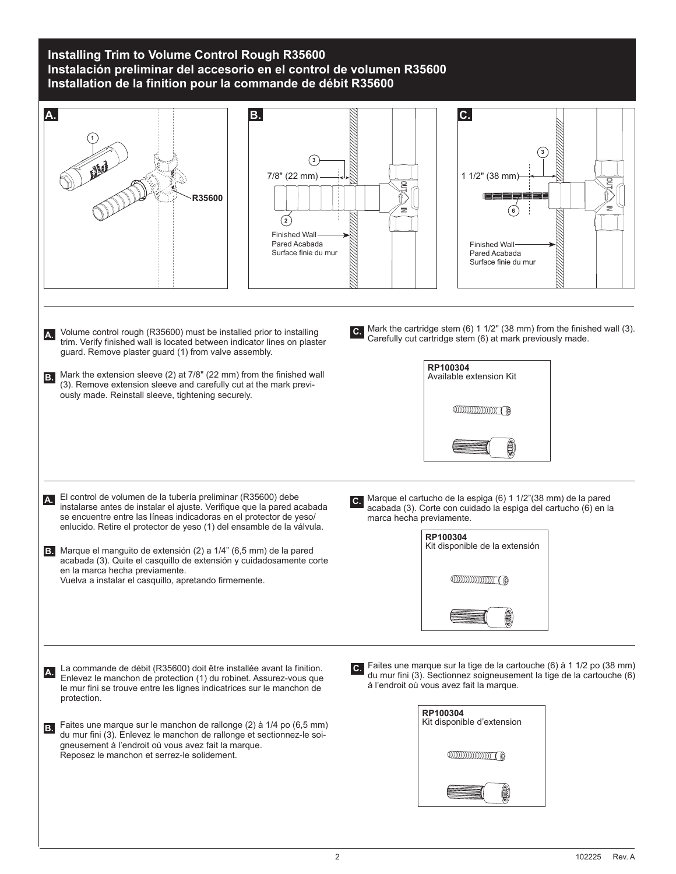## **Installing Trim to Volume Control Rough R35600 Instalación preliminar del accesorio en el control de volumen R35600 Installation de la finition pour la commande de débit R35600**

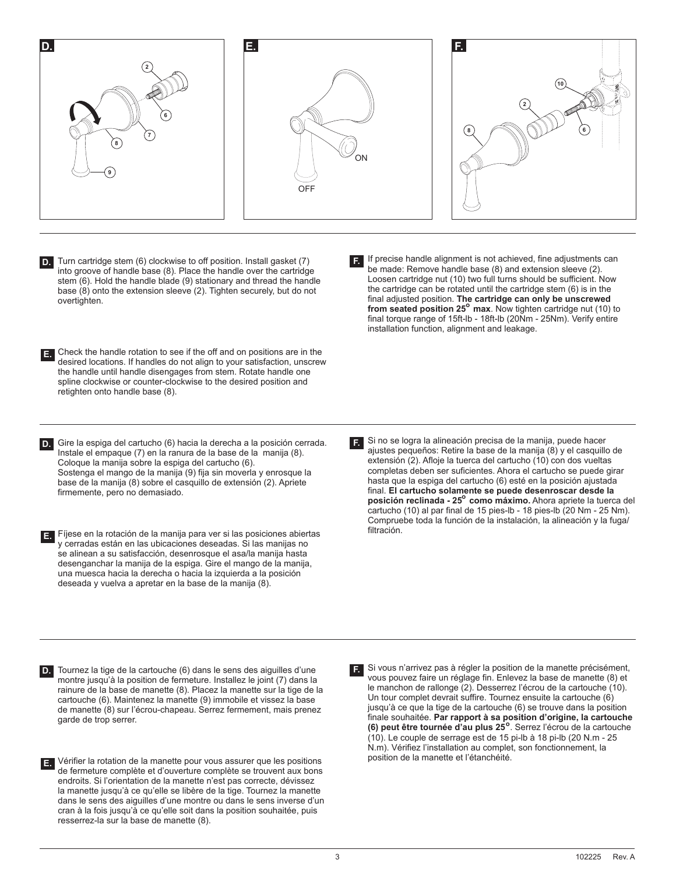

- Turn cartridge stem (6) clockwise to off position. Install gasket (7) into groove of handle base (8). Place the handle over the cartridge stem (6). Hold the handle blade (9) stationary and thread the handle base (8) onto the extension sleeve (2). Tighten securely, but do not overtighten **D.**
- Check the handle rotation to see if the off and on positions are in the **E.** desired locations. If handles do not align to your satisfaction, unscrew the handle until handle disengages from stem. Rotate handle one spline clockwise or counter-clockwise to the desired position and retighten onto handle base (8).
- Gire la espiga del cartucho (6) hacia la derecha a la posición cerrada. **D.** Instale el empaque (7) en la ranura de la base de la manija (8). Coloque la manija sobre la espiga del cartucho (6). Sostenga el mango de la manija (9) fija sin moverla y enrosque la base de la manija (8) sobre el casquillo de extensión (2). Apriete
- Fíjese en la rotación de la manija para ver si las posiciones abiertas **E.** y cerradas están en las ubicaciones deseadas. Si las manijas no se alinean a su satisfacción, desenrosque el asa/la manija hasta desenganchar la manija de la espiga. Gire el mango de la manija, una muesca hacia la derecha o hacia la izquierda a la posición deseada y vuelva a apretar en la base de la manija (8).

firmemente, pero no demasiado.

If precise handle alignment is not achieved, fine adjustments can **F.** be made: Remove handle base (8) and extension sleeve (2). Loosen cartridge nut (10) two full turns should be sufficient. Now the cartridge can be rotated until the cartridge stem (6) is in the final adjusted position. **The cartridge can only be unscrewed from seated position 25<sup>°</sup> max**. Now tighten cartridge nut (10) to final torque range of 15ft-lb - 18ft-lb (20Nm - 25Nm). Verify entire installation function, alignment and leakage.

Si no se logra la alineación precisa de la manija, puede hacer ajustes pequeños: Retire la base de la manija (8) y el casquillo de extensión (2). Afloje la tuerca del cartucho (10) con dos vueltas completas deben ser suficientes. Ahora el cartucho se puede girar hasta que la espiga del cartucho (6) esté en la posición ajustada final. **El cartucho solamente se puede desenroscar desde la posición reclinada - 25<sup>°</sup> como máximo.** Ahora apriete la tuerca del cartucho (10) al par final de 15 pies-lb - 18 pies-lb (20 Nm - 25 Nm). Compruebe toda la función de la instalación, la alineación y la fuga/ filtración. **F.**

- Tournez la tige de la cartouche (6) dans le sens des aiguilles d'une **D.** montre jusqu'à la position de fermeture. Installez le joint (7) dans la rainure de la base de manette (8). Placez la manette sur la tige de la cartouche (6). Maintenez la manette (9) immobile et vissez la base de manette (8) sur l'écrou-chapeau. Serrez fermement, mais prenez garde de trop serrer.
- 

Vérifier la rotation de la manette pour vous assurer que les positions **E.** de fermeture complète et d'ouverture complète se trouvent aux bons endroits. Si l'orientation de la manette n'est pas correcte, dévissez la manette jusqu'à ce qu'elle se libère de la tige. Tournez la manette dans le sens des aiguilles d'une montre ou dans le sens inverse d'un cran à la fois jusqu'à ce qu'elle soit dans la position souhaitée, puis resserrez-la sur la base de manette (8).

Si vous n'arrivez pas à régler la position de la manette précisément, vous pouvez faire un réglage fin. Enlevez la base de manette (8) et le manchon de rallonge (2). Desserrez l'écrou de la cartouche (10). Un tour complet devrait suffire. Tournez ensuite la cartouche (6) jusqu'à ce que la tige de la cartouche (6) se trouve dans la position finale souhaitée. **Par rapport à sa position d'origine, la cartouche (6) peut être tournée d'au plus 25** . Serrez l'écrou de la cartouche **o** (10). Le couple de serrage est de 15 pi-lb à 18 pi-lb (20 N.m - 25 N.m). Vérifiez l'installation au complet, son fonctionnement, la position de la manette et l'étanchéité.

**F.**